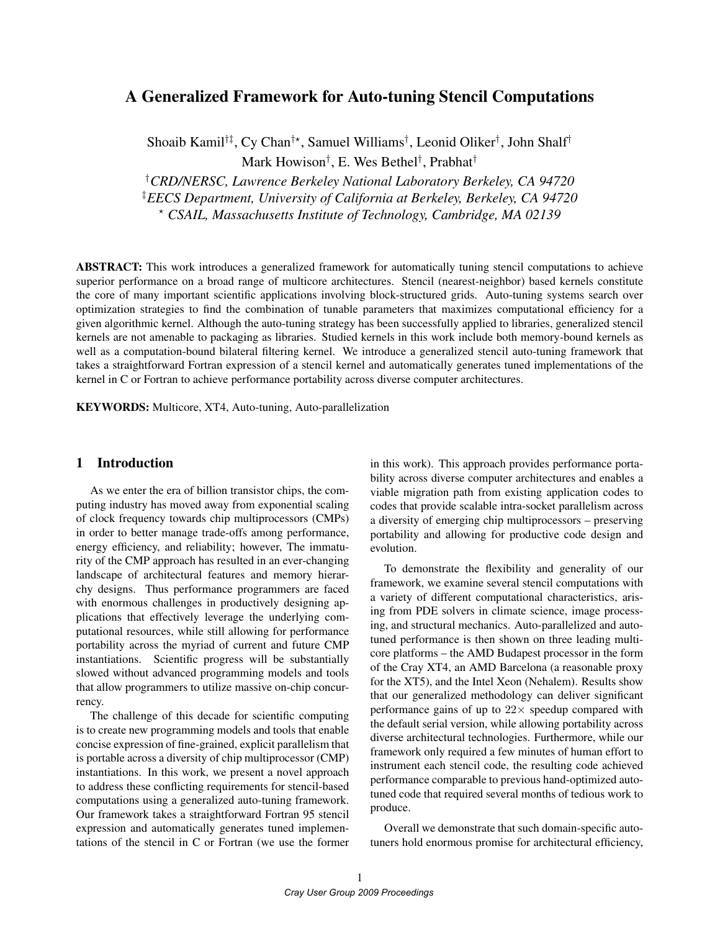# A Generalized Framework for Auto-tuning Stencil Computations

Shoaib Kamil†‡, Cy Chan†? , Samuel Williams† , Leonid Oliker† , John Shalf† Mark Howison† , E. Wes Bethel† , Prabhat†

†*CRD/NERSC, Lawrence Berkeley National Laboratory Berkeley, CA 94720* ‡*EECS Department, University of California at Berkeley, Berkeley, CA 94720* ? *CSAIL, Massachusetts Institute of Technology, Cambridge, MA 02139*

**ABSTRACT:** This work introduces a generalized framework for automatically tuning stencil computations to achieve superior performance on a broad range of multicore architectures. Stencil (nearest-neighbor) based kernels constitute the core of many important scientific applications involving block-structured grids. Auto-tuning systems search over optimization strategies to find the combination of tunable parameters that maximizes computational efficiency for a given algorithmic kernel. Although the auto-tuning strategy has been successfully applied to libraries, generalized stencil kernels are not amenable to packaging as libraries. Studied kernels in this work include both memory-bound kernels as well as a computation-bound bilateral filtering kernel. We introduce a generalized stencil auto-tuning framework that takes a straightforward Fortran expression of a stencil kernel and automatically generates tuned implementations of the kernel in C or Fortran to achieve performance portability across diverse computer architectures.

KEYWORDS: Multicore, XT4, Auto-tuning, Auto-parallelization

#### 1 Introduction

As we enter the era of billion transistor chips, the computing industry has moved away from exponential scaling of clock frequency towards chip multiprocessors (CMPs) in order to better manage trade-offs among performance, energy efficiency, and reliability; however, The immaturity of the CMP approach has resulted in an ever-changing landscape of architectural features and memory hierarchy designs. Thus performance programmers are faced with enormous challenges in productively designing applications that effectively leverage the underlying computational resources, while still allowing for performance portability across the myriad of current and future CMP instantiations. Scientific progress will be substantially slowed without advanced programming models and tools that allow programmers to utilize massive on-chip concurrency.

The challenge of this decade for scientific computing is to create new programming models and tools that enable concise expression of fine-grained, explicit parallelism that is portable across a diversity of chip multiprocessor (CMP) instantiations. In this work, we present a novel approach to address these conflicting requirements for stencil-based computations using a generalized auto-tuning framework. Our framework takes a straightforward Fortran 95 stencil expression and automatically generates tuned implementations of the stencil in C or Fortran (we use the former in this work). This approach provides performance portability across diverse computer architectures and enables a viable migration path from existing application codes to codes that provide scalable intra-socket parallelism across a diversity of emerging chip multiprocessors – preserving portability and allowing for productive code design and evolution.

To demonstrate the flexibility and generality of our framework, we examine several stencil computations with a variety of different computational characteristics, arising from PDE solvers in climate science, image processing, and structural mechanics. Auto-parallelized and autotuned performance is then shown on three leading multicore platforms – the AMD Budapest processor in the form of the Cray XT4, an AMD Barcelona (a reasonable proxy for the XT5), and the Intel Xeon (Nehalem). Results show that our generalized methodology can deliver significant performance gains of up to  $22 \times$  speedup compared with the default serial version, while allowing portability across diverse architectural technologies. Furthermore, while our framework only required a few minutes of human effort to instrument each stencil code, the resulting code achieved performance comparable to previous hand-optimized autotuned code that required several months of tedious work to produce.

Overall we demonstrate that such domain-specific autotuners hold enormous promise for architectural efficiency,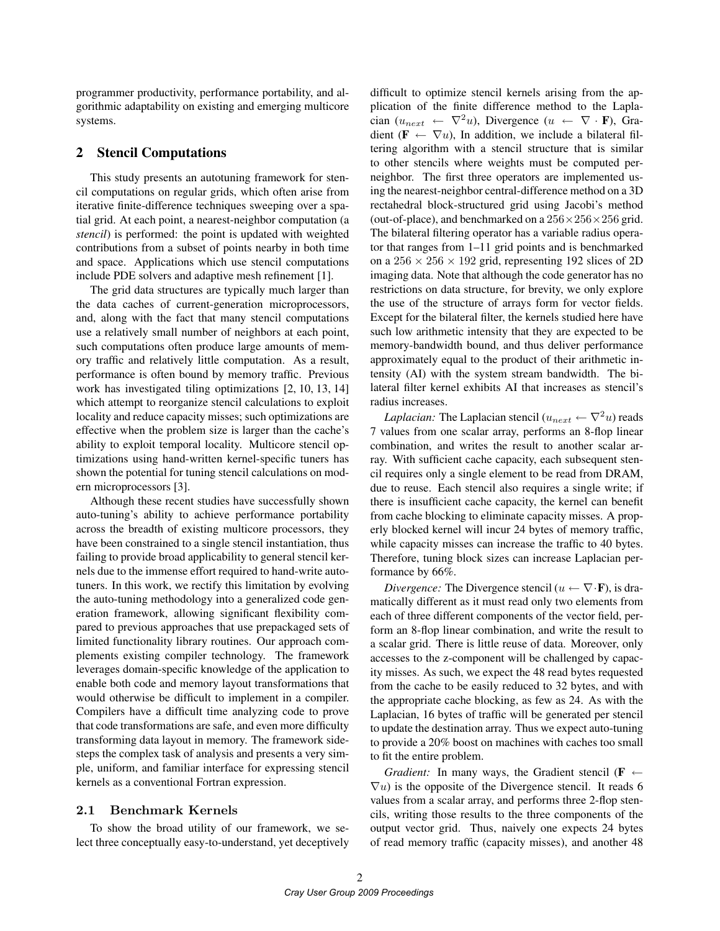programmer productivity, performance portability, and algorithmic adaptability on existing and emerging multicore systems.

### 2 Stencil Computations

This study presents an autotuning framework for stencil computations on regular grids, which often arise from iterative finite-difference techniques sweeping over a spatial grid. At each point, a nearest-neighbor computation (a *stencil*) is performed: the point is updated with weighted contributions from a subset of points nearby in both time and space. Applications which use stencil computations include PDE solvers and adaptive mesh refinement [1].

The grid data structures are typically much larger than the data caches of current-generation microprocessors, and, along with the fact that many stencil computations use a relatively small number of neighbors at each point, such computations often produce large amounts of memory traffic and relatively little computation. As a result, performance is often bound by memory traffic. Previous work has investigated tiling optimizations [2, 10, 13, 14] which attempt to reorganize stencil calculations to exploit locality and reduce capacity misses; such optimizations are effective when the problem size is larger than the cache's ability to exploit temporal locality. Multicore stencil optimizations using hand-written kernel-specific tuners has shown the potential for tuning stencil calculations on modern microprocessors [3].

Although these recent studies have successfully shown auto-tuning's ability to achieve performance portability across the breadth of existing multicore processors, they have been constrained to a single stencil instantiation, thus failing to provide broad applicability to general stencil kernels due to the immense effort required to hand-write autotuners. In this work, we rectify this limitation by evolving the auto-tuning methodology into a generalized code generation framework, allowing significant flexibility compared to previous approaches that use prepackaged sets of limited functionality library routines. Our approach complements existing compiler technology. The framework leverages domain-specific knowledge of the application to enable both code and memory layout transformations that would otherwise be difficult to implement in a compiler. Compilers have a difficult time analyzing code to prove that code transformations are safe, and even more difficulty transforming data layout in memory. The framework sidesteps the complex task of analysis and presents a very simple, uniform, and familiar interface for expressing stencil kernels as a conventional Fortran expression.

#### 2.1 Benchmark Kernels

To show the broad utility of our framework, we select three conceptually easy-to-understand, yet deceptively difficult to optimize stencil kernels arising from the application of the finite difference method to the Laplacian ( $u_{next} \leftarrow \nabla^2 u$ ), Divergence ( $u \leftarrow \nabla \cdot \mathbf{F}$ ), Gradient ( $\mathbf{F} \leftarrow \nabla u$ ), In addition, we include a bilateral filtering algorithm with a stencil structure that is similar to other stencils where weights must be computed perneighbor. The first three operators are implemented using the nearest-neighbor central-difference method on a 3D rectahedral block-structured grid using Jacobi's method (out-of-place), and benchmarked on a  $256 \times 256 \times 256$  grid. The bilateral filtering operator has a variable radius operator that ranges from 1–11 grid points and is benchmarked on a  $256 \times 256 \times 192$  grid, representing 192 slices of 2D imaging data. Note that although the code generator has no restrictions on data structure, for brevity, we only explore the use of the structure of arrays form for vector fields. Except for the bilateral filter, the kernels studied here have such low arithmetic intensity that they are expected to be memory-bandwidth bound, and thus deliver performance approximately equal to the product of their arithmetic intensity (AI) with the system stream bandwidth. The bilateral filter kernel exhibits AI that increases as stencil's radius increases.

*Laplacian:* The Laplacian stencil  $(u_{next} \leftarrow \nabla^2 u)$  reads 7 values from one scalar array, performs an 8-flop linear combination, and writes the result to another scalar array. With sufficient cache capacity, each subsequent stencil requires only a single element to be read from DRAM, due to reuse. Each stencil also requires a single write; if there is insufficient cache capacity, the kernel can benefit from cache blocking to eliminate capacity misses. A properly blocked kernel will incur 24 bytes of memory traffic, while capacity misses can increase the traffic to 40 bytes. Therefore, tuning block sizes can increase Laplacian performance by 66%.

*Divergence:* The Divergence stencil  $(u \leftarrow \nabla \cdot \mathbf{F})$ , is dramatically different as it must read only two elements from each of three different components of the vector field, perform an 8-flop linear combination, and write the result to a scalar grid. There is little reuse of data. Moreover, only accesses to the z-component will be challenged by capacity misses. As such, we expect the 48 read bytes requested from the cache to be easily reduced to 32 bytes, and with the appropriate cache blocking, as few as 24. As with the Laplacian, 16 bytes of traffic will be generated per stencil to update the destination array. Thus we expect auto-tuning to provide a 20% boost on machines with caches too small to fit the entire problem.

*Gradient:* In many ways, the Gradient stencil ( $\mathbf{F} \leftarrow$  $\nabla u$ ) is the opposite of the Divergence stencil. It reads 6 values from a scalar array, and performs three 2-flop stencils, writing those results to the three components of the output vector grid. Thus, naively one expects 24 bytes of read memory traffic (capacity misses), and another 48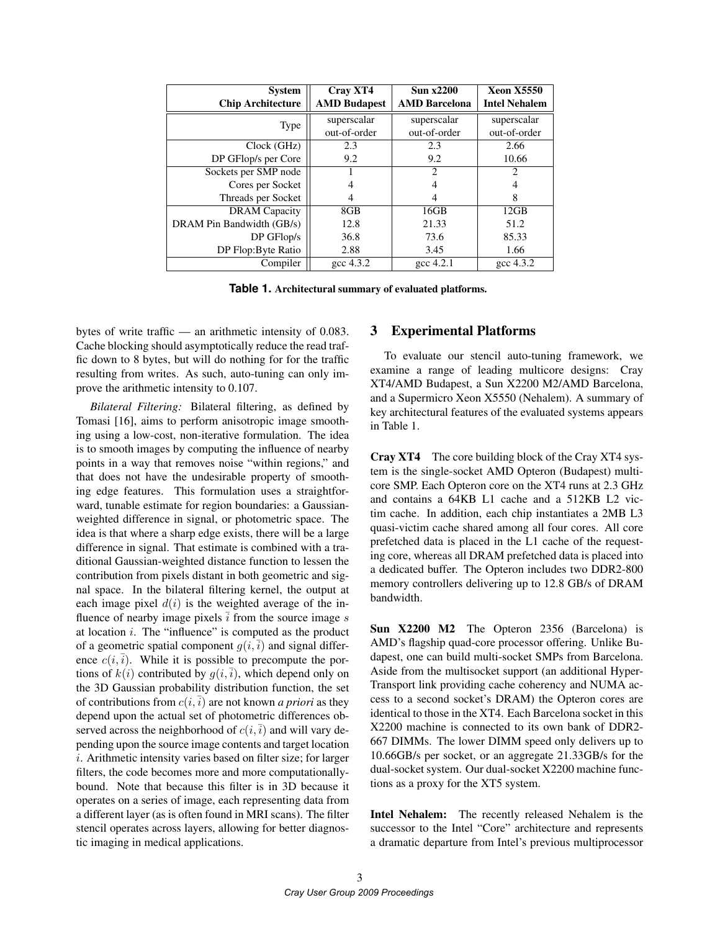| <b>System</b>             | Cray XT4            | <b>Sun x2200</b>            | <b>Xeon X5550</b>           |
|---------------------------|---------------------|-----------------------------|-----------------------------|
| <b>Chip Architecture</b>  | <b>AMD Budapest</b> | <b>AMD Barcelona</b>        | <b>Intel Nehalem</b>        |
| Type                      | superscalar         | superscalar                 | superscalar                 |
|                           | out-of-order        | out-of-order                | out-of-order                |
| Clock (GHz)               | 2.3                 | 2.3                         | 2.66                        |
| DP GFlop/s per Core       | 9.2                 | 9.2                         | 10.66                       |
| Sockets per SMP node      |                     | $\mathcal{D}_{\mathcal{L}}$ | $\mathcal{D}_{\mathcal{L}}$ |
| Cores per Socket          |                     | 4                           | 4                           |
| Threads per Socket        | 4                   | 4                           | 8                           |
| <b>DRAM</b> Capacity      | 8GB                 | 16GB                        | 12GB                        |
| DRAM Pin Bandwidth (GB/s) | 12.8                | 21.33                       | 51.2                        |
| $DP$ GFlop/s              | 36.8                | 73.6                        | 85.33                       |
| DP Flop:Byte Ratio        | 2.88                | 3.45                        | 1.66                        |
| Compiler                  | $\csc 4.3.2$        | $\gcd$ 4.2.1                | $\csc 4.3.2$                |

**Table 1.** Architectural summary of evaluated platforms.

bytes of write traffic — an arithmetic intensity of 0.083. Cache blocking should asymptotically reduce the read traffic down to 8 bytes, but will do nothing for for the traffic resulting from writes. As such, auto-tuning can only improve the arithmetic intensity to 0.107.

*Bilateral Filtering:* Bilateral filtering, as defined by Tomasi [16], aims to perform anisotropic image smoothing using a low-cost, non-iterative formulation. The idea is to smooth images by computing the influence of nearby points in a way that removes noise "within regions," and that does not have the undesirable property of smoothing edge features. This formulation uses a straightforward, tunable estimate for region boundaries: a Gaussianweighted difference in signal, or photometric space. The idea is that where a sharp edge exists, there will be a large difference in signal. That estimate is combined with a traditional Gaussian-weighted distance function to lessen the contribution from pixels distant in both geometric and signal space. In the bilateral filtering kernel, the output at each image pixel  $d(i)$  is the weighted average of the influence of nearby image pixels  $\overline{i}$  from the source image s at location i. The "influence" is computed as the product of a geometric spatial component  $q(i,\overline{i})$  and signal difference  $c(i,\overline{i})$ . While it is possible to precompute the portions of  $k(i)$  contributed by  $q(i, \overline{i})$ , which depend only on the 3D Gaussian probability distribution function, the set of contributions from  $c(i, \overline{i})$  are not known *a priori* as they depend upon the actual set of photometric differences observed across the neighborhood of  $c(i, \overline{i})$  and will vary depending upon the source image contents and target location i. Arithmetic intensity varies based on filter size; for larger filters, the code becomes more and more computationallybound. Note that because this filter is in 3D because it operates on a series of image, each representing data from a different layer (as is often found in MRI scans). The filter stencil operates across layers, allowing for better diagnostic imaging in medical applications.

### 3 Experimental Platforms

To evaluate our stencil auto-tuning framework, we examine a range of leading multicore designs: Cray XT4/AMD Budapest, a Sun X2200 M2/AMD Barcelona, and a Supermicro Xeon X5550 (Nehalem). A summary of key architectural features of the evaluated systems appears in Table 1.

Cray XT4 The core building block of the Cray XT4 system is the single-socket AMD Opteron (Budapest) multicore SMP. Each Opteron core on the XT4 runs at 2.3 GHz and contains a 64KB L1 cache and a 512KB L2 victim cache. In addition, each chip instantiates a 2MB L3 quasi-victim cache shared among all four cores. All core prefetched data is placed in the L1 cache of the requesting core, whereas all DRAM prefetched data is placed into a dedicated buffer. The Opteron includes two DDR2-800 memory controllers delivering up to 12.8 GB/s of DRAM bandwidth.

Sun X2200 M2 The Opteron 2356 (Barcelona) is AMD's flagship quad-core processor offering. Unlike Budapest, one can build multi-socket SMPs from Barcelona. Aside from the multisocket support (an additional Hyper-Transport link providing cache coherency and NUMA access to a second socket's DRAM) the Opteron cores are identical to those in the XT4. Each Barcelona socket in this X2200 machine is connected to its own bank of DDR2- 667 DIMMs. The lower DIMM speed only delivers up to 10.66GB/s per socket, or an aggregate 21.33GB/s for the dual-socket system. Our dual-socket X2200 machine functions as a proxy for the XT5 system.

Intel Nehalem: The recently released Nehalem is the successor to the Intel "Core" architecture and represents a dramatic departure from Intel's previous multiprocessor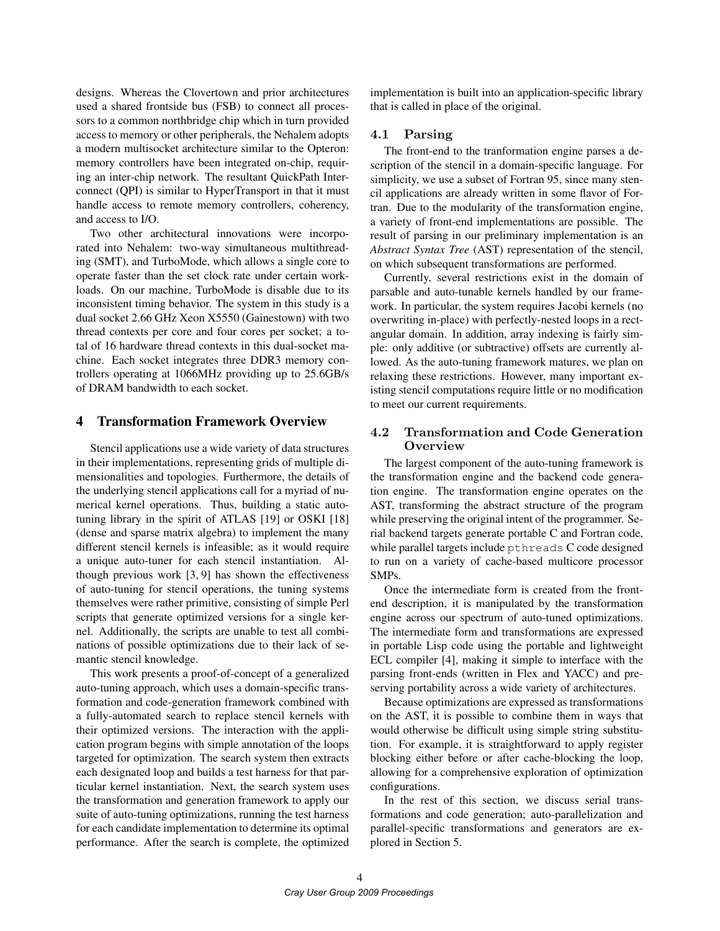designs. Whereas the Clovertown and prior architectures used a shared frontside bus (FSB) to connect all processors to a common northbridge chip which in turn provided access to memory or other peripherals, the Nehalem adopts a modern multisocket architecture similar to the Opteron: memory controllers have been integrated on-chip, requiring an inter-chip network. The resultant QuickPath Interconnect (QPI) is similar to HyperTransport in that it must handle access to remote memory controllers, coherency, and access to I/O.

Two other architectural innovations were incorporated into Nehalem: two-way simultaneous multithreading (SMT), and TurboMode, which allows a single core to operate faster than the set clock rate under certain workloads. On our machine, TurboMode is disable due to its inconsistent timing behavior. The system in this study is a dual socket 2.66 GHz Xeon X5550 (Gainestown) with two thread contexts per core and four cores per socket; a total of 16 hardware thread contexts in this dual-socket machine. Each socket integrates three DDR3 memory controllers operating at 1066MHz providing up to 25.6GB/s of DRAM bandwidth to each socket.

## 4 Transformation Framework Overview

Stencil applications use a wide variety of data structures in their implementations, representing grids of multiple dimensionalities and topologies. Furthermore, the details of the underlying stencil applications call for a myriad of numerical kernel operations. Thus, building a static autotuning library in the spirit of ATLAS [19] or OSKI [18] (dense and sparse matrix algebra) to implement the many different stencil kernels is infeasible; as it would require a unique auto-tuner for each stencil instantiation. Although previous work [3, 9] has shown the effectiveness of auto-tuning for stencil operations, the tuning systems themselves were rather primitive, consisting of simple Perl scripts that generate optimized versions for a single kernel. Additionally, the scripts are unable to test all combinations of possible optimizations due to their lack of semantic stencil knowledge.

This work presents a proof-of-concept of a generalized auto-tuning approach, which uses a domain-specific transformation and code-generation framework combined with a fully-automated search to replace stencil kernels with their optimized versions. The interaction with the application program begins with simple annotation of the loops targeted for optimization. The search system then extracts each designated loop and builds a test harness for that particular kernel instantiation. Next, the search system uses the transformation and generation framework to apply our suite of auto-tuning optimizations, running the test harness for each candidate implementation to determine its optimal performance. After the search is complete, the optimized implementation is built into an application-specific library that is called in place of the original.

## 4.1 Parsing

The front-end to the tranformation engine parses a description of the stencil in a domain-specific language. For simplicity, we use a subset of Fortran 95, since many stencil applications are already written in some flavor of Fortran. Due to the modularity of the transformation engine, a variety of front-end implementations are possible. The result of parsing in our preliminary implementation is an *Abstract Syntax Tree* (AST) representation of the stencil, on which subsequent transformations are performed.

Currently, several restrictions exist in the domain of parsable and auto-tunable kernels handled by our framework. In particular, the system requires Jacobi kernels (no overwriting in-place) with perfectly-nested loops in a rectangular domain. In addition, array indexing is fairly simple: only additive (or subtractive) offsets are currently allowed. As the auto-tuning framework matures, we plan on relaxing these restrictions. However, many important existing stencil computations require little or no modification to meet our current requirements.

## 4.2 Transformation and Code Generation **Overview**

The largest component of the auto-tuning framework is the transformation engine and the backend code generation engine. The transformation engine operates on the AST, transforming the abstract structure of the program while preserving the original intent of the programmer. Serial backend targets generate portable C and Fortran code, while parallel targets include pthreads C code designed to run on a variety of cache-based multicore processor SMPs.

Once the intermediate form is created from the frontend description, it is manipulated by the transformation engine across our spectrum of auto-tuned optimizations. The intermediate form and transformations are expressed in portable Lisp code using the portable and lightweight ECL compiler [4], making it simple to interface with the parsing front-ends (written in Flex and YACC) and preserving portability across a wide variety of architectures.

Because optimizations are expressed as transformations on the AST, it is possible to combine them in ways that would otherwise be difficult using simple string substitution. For example, it is straightforward to apply register blocking either before or after cache-blocking the loop, allowing for a comprehensive exploration of optimization configurations.

In the rest of this section, we discuss serial transformations and code generation; auto-parallelization and parallel-specific transformations and generators are explored in Section 5.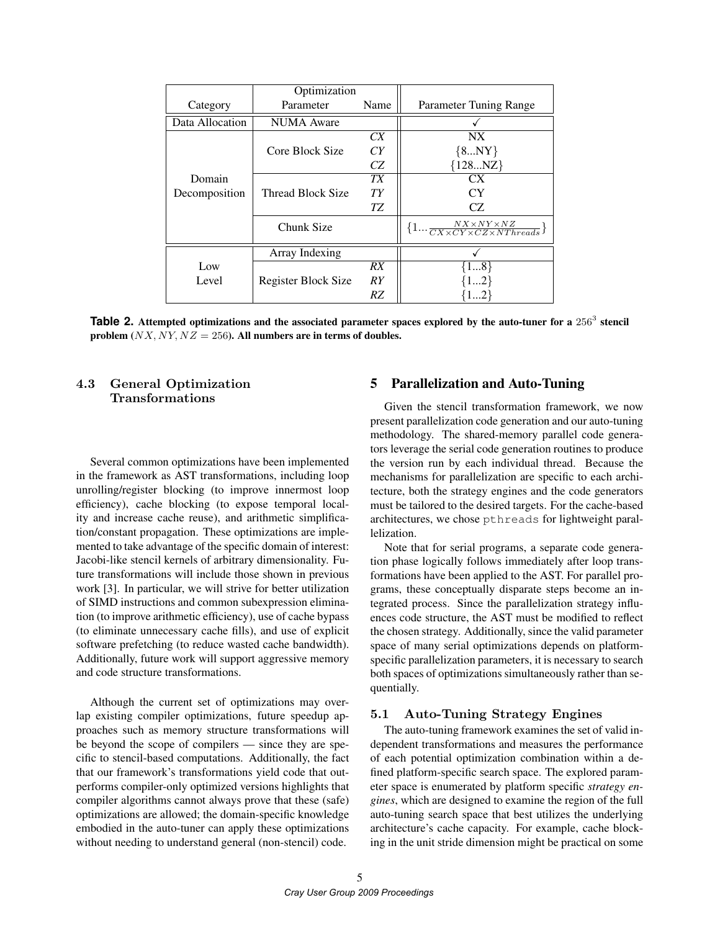|                         | Optimization             |           |                                                                         |
|-------------------------|--------------------------|-----------|-------------------------------------------------------------------------|
| Category                | Parameter                | Name      | Parameter Tuning Range                                                  |
| Data Allocation         | <b>NUMA</b> Aware        |           |                                                                         |
|                         |                          | CX        | NX                                                                      |
|                         | Core Block Size          | CY        | ${8NY}$                                                                 |
| Domain<br>Decomposition |                          | CZ        | ${128NZ}$                                                               |
|                         |                          | <b>TX</b> | CX                                                                      |
|                         | <b>Thread Block Size</b> | TY        | CY                                                                      |
|                         |                          | TZ        | CZ.                                                                     |
|                         | Chunk Size               |           | $\{1\frac{NX\times NY\times NZ}{CX\times CY\times CZ\times NThreads}\}$ |
|                         | Array Indexing           |           |                                                                         |
| Low<br>Level            |                          | RX        | ${18}$                                                                  |
|                         | Register Block Size      | RY        |                                                                         |
|                         |                          | RZ        |                                                                         |

**Table 2.** Attempted optimizations and the associated parameter spaces explored by the auto-tuner for a  $256<sup>3</sup>$  stencil problem  $(NX, NY, NZ = 256)$ . All numbers are in terms of doubles.

## 4.3 General Optimization Transformations

Several common optimizations have been implemented in the framework as AST transformations, including loop unrolling/register blocking (to improve innermost loop efficiency), cache blocking (to expose temporal locality and increase cache reuse), and arithmetic simplification/constant propagation. These optimizations are implemented to take advantage of the specific domain of interest: Jacobi-like stencil kernels of arbitrary dimensionality. Future transformations will include those shown in previous work [3]. In particular, we will strive for better utilization of SIMD instructions and common subexpression elimination (to improve arithmetic efficiency), use of cache bypass (to eliminate unnecessary cache fills), and use of explicit software prefetching (to reduce wasted cache bandwidth). Additionally, future work will support aggressive memory and code structure transformations.

Although the current set of optimizations may overlap existing compiler optimizations, future speedup approaches such as memory structure transformations will be beyond the scope of compilers — since they are specific to stencil-based computations. Additionally, the fact that our framework's transformations yield code that outperforms compiler-only optimized versions highlights that compiler algorithms cannot always prove that these (safe) optimizations are allowed; the domain-specific knowledge embodied in the auto-tuner can apply these optimizations without needing to understand general (non-stencil) code.

## 5 Parallelization and Auto-Tuning

Given the stencil transformation framework, we now present parallelization code generation and our auto-tuning methodology. The shared-memory parallel code generators leverage the serial code generation routines to produce the version run by each individual thread. Because the mechanisms for parallelization are specific to each architecture, both the strategy engines and the code generators must be tailored to the desired targets. For the cache-based architectures, we chose pthreads for lightweight parallelization.

Note that for serial programs, a separate code generation phase logically follows immediately after loop transformations have been applied to the AST. For parallel programs, these conceptually disparate steps become an integrated process. Since the parallelization strategy influences code structure, the AST must be modified to reflect the chosen strategy. Additionally, since the valid parameter space of many serial optimizations depends on platformspecific parallelization parameters, it is necessary to search both spaces of optimizations simultaneously rather than sequentially.

### 5.1 Auto-Tuning Strategy Engines

The auto-tuning framework examines the set of valid independent transformations and measures the performance of each potential optimization combination within a defined platform-specific search space. The explored parameter space is enumerated by platform specific *strategy engines*, which are designed to examine the region of the full auto-tuning search space that best utilizes the underlying architecture's cache capacity. For example, cache blocking in the unit stride dimension might be practical on some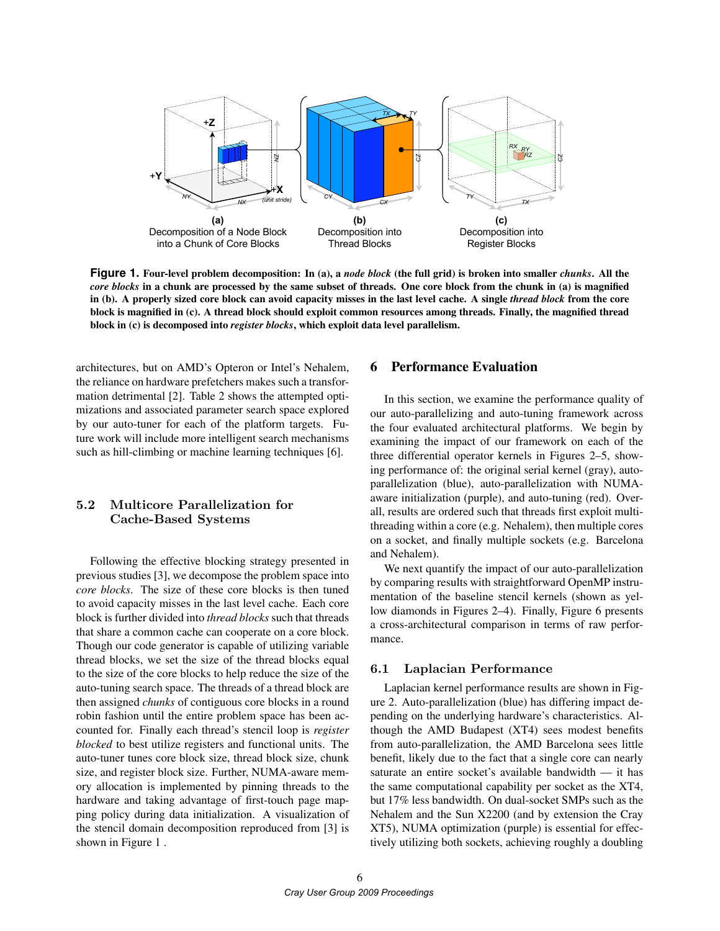

**Figure 1.** Four-level problem decomposition: In (a), a *node block* (the full grid) is broken into smaller *chunks*. All the *core blocks* in a chunk are processed by the same subset of threads. One core block from the chunk in (a) is magnified in (b). A properly sized core block can avoid capacity misses in the last level cache. A single *thread block* from the core block is magnified in (c). A thread block should exploit common resources among threads. Finally, the magnified thread block in (c) is decomposed into *register blocks*, which exploit data level parallelism.

architectures, but on AMD's Opteron or Intel's Nehalem, the reliance on hardware prefetchers makes such a transformation detrimental [2]. Table 2 shows the attempted optimizations and associated parameter search space explored by our auto-tuner for each of the platform targets. Future work will include more intelligent search mechanisms such as hill-climbing or machine learning techniques [6].

## 5.2 Multicore Parallelization for Cache-Based Systems

Following the effective blocking strategy presented in previous studies [3], we decompose the problem space into *core blocks*. The size of these core blocks is then tuned to avoid capacity misses in the last level cache. Each core block is further divided into *thread blocks* such that threads that share a common cache can cooperate on a core block. Though our code generator is capable of utilizing variable thread blocks, we set the size of the thread blocks equal to the size of the core blocks to help reduce the size of the auto-tuning search space. The threads of a thread block are then assigned *chunks* of contiguous core blocks in a round robin fashion until the entire problem space has been accounted for. Finally each thread's stencil loop is *register blocked* to best utilize registers and functional units. The auto-tuner tunes core block size, thread block size, chunk size, and register block size. Further, NUMA-aware memory allocation is implemented by pinning threads to the hardware and taking advantage of first-touch page mapping policy during data initialization. A visualization of the stencil domain decomposition reproduced from [3] is shown in Figure 1 .

## 6 Performance Evaluation

In this section, we examine the performance quality of our auto-parallelizing and auto-tuning framework across the four evaluated architectural platforms. We begin by examining the impact of our framework on each of the three differential operator kernels in Figures 2–5, showing performance of: the original serial kernel (gray), autoparallelization (blue), auto-parallelization with NUMAaware initialization (purple), and auto-tuning (red). Overall, results are ordered such that threads first exploit multithreading within a core (e.g. Nehalem), then multiple cores on a socket, and finally multiple sockets (e.g. Barcelona and Nehalem).

We next quantify the impact of our auto-parallelization by comparing results with straightforward OpenMP instrumentation of the baseline stencil kernels (shown as yellow diamonds in Figures 2–4). Finally, Figure 6 presents a cross-architectural comparison in terms of raw performance.

#### 6.1 Laplacian Performance

Laplacian kernel performance results are shown in Figure 2. Auto-parallelization (blue) has differing impact depending on the underlying hardware's characteristics. Although the AMD Budapest (XT4) sees modest benefits from auto-parallelization, the AMD Barcelona sees little benefit, likely due to the fact that a single core can nearly saturate an entire socket's available bandwidth — it has the same computational capability per socket as the XT4, but 17% less bandwidth. On dual-socket SMPs such as the Nehalem and the Sun X2200 (and by extension the Cray XT5), NUMA optimization (purple) is essential for effectively utilizing both sockets, achieving roughly a doubling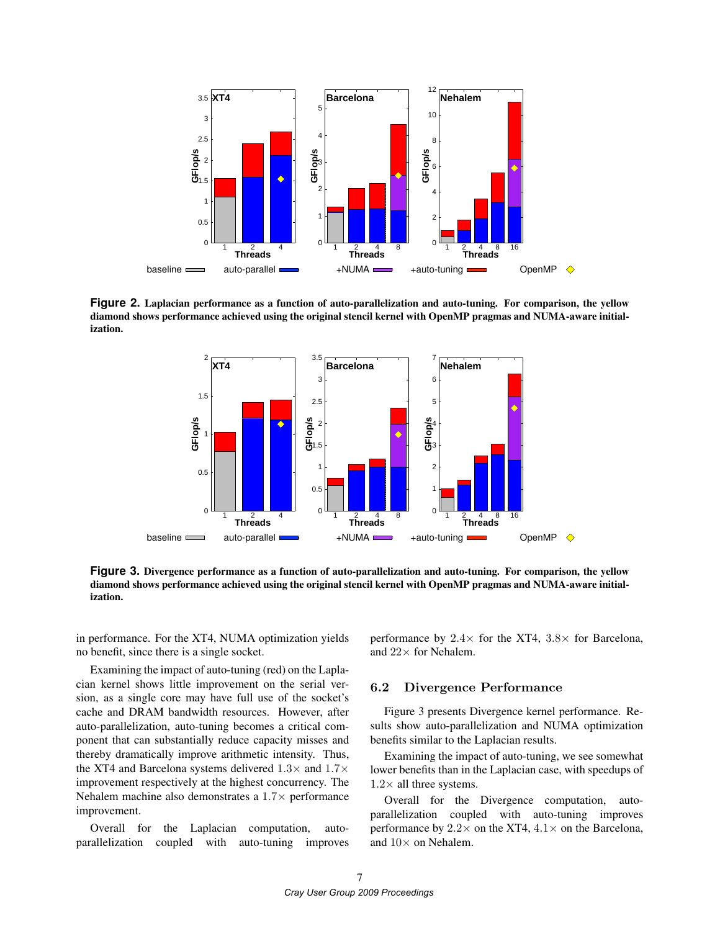

Figure 2. Laplacian performance as a function of auto-parallelization and auto-tuning. For comparison, the yellow I igure 2. Lapiacian performance as a function of auto-paramenzation and auto-tuning. For comparison, the yenow<br>diamond shows performance achieved using the original stencil kernel with OpenMP pragmas and NUMA-aware initia ization. 10



**Figure 3.** Divergence performance as a function of auto-parallelization and auto-tuning. For comparison, the yellow diamond shows performance achieved using the original stencil kernel with OpenMP pragmas and NUMA-aware initialization.

in performance. For the XT4, NUMA optimization yields no benefit, since there is a single socket.

Examining the impact of auto-tuning (red) on the Laplacian kernel shows little improvement on the serial version, as a single core may have full use of the socket's cache and DRAM bandwidth resources. However, after auto-parallelization, auto-tuning becomes a critical component that can substantially reduce capacity misses and thereby dramatically improve arithmetic intensity. Thus, the XT4 and Barcelona systems delivered  $1.3\times$  and  $1.7\times$ improvement respectively at the highest concurrency. The Nehalem machine also demonstrates a  $1.7\times$  performance improvement.

Overall for the Laplacian computation, autoparallelization coupled with auto-tuning improves performance by  $2.4\times$  for the XT4,  $3.8\times$  for Barcelona, and  $22 \times$  for Nehalem.

## 6.2 Divergence Performance

Figure 3 presents Divergence kernel performance. Results show auto-parallelization and NUMA optimization benefits similar to the Laplacian results.

Examining the impact of auto-tuning, we see somewhat lower benefits than in the Laplacian case, with speedups of  $1.2\times$  all three systems.

Overall for the Divergence computation, autoparallelization coupled with auto-tuning improves performance by  $2.2 \times$  on the XT4,  $4.1 \times$  on the Barcelona, and  $10\times$  on Nehalem.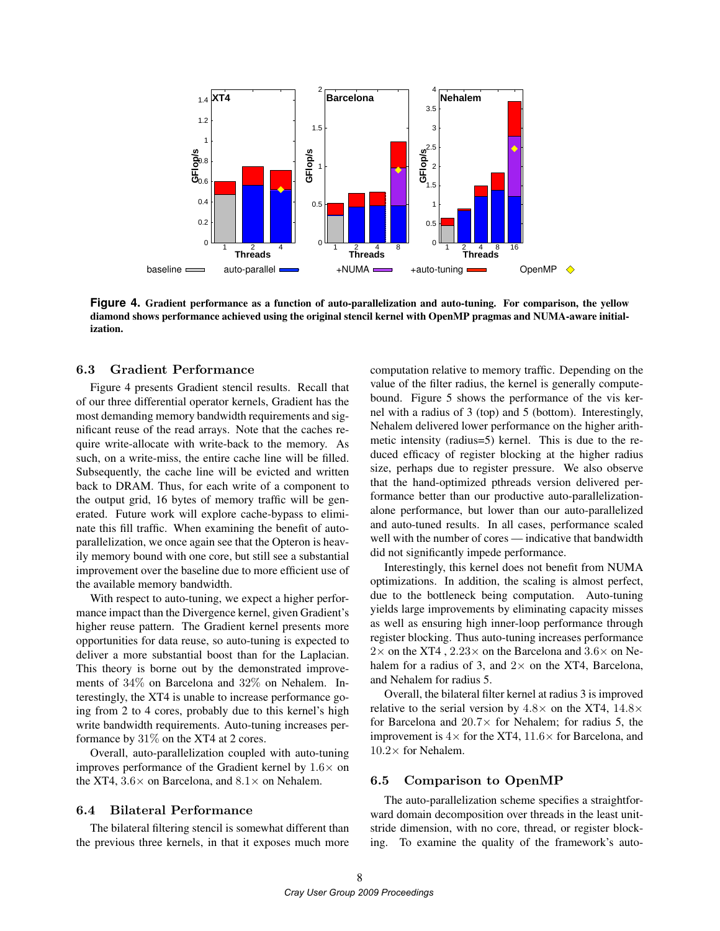

**Figure 4.** Gradient performance as a function of auto-parallelization and auto-tuning. For comparison, the yellow diamond shows performance achieved using the original stencil kernel with OpenMP pragmas and NUMA-aware initialization.

### 6.3 Gradient Performance

Figure 4 presents Gradient stencil results. Recall that of our three differential operator kernels, Gradient has the most demanding memory bandwidth requirements and significant reuse of the read arrays. Note that the caches require write-allocate with write-back to the memory. As such, on a write-miss, the entire cache line will be filled. Subsequently, the cache line will be evicted and written back to DRAM. Thus, for each write of a component to the output grid, 16 bytes of memory traffic will be generated. Future work will explore cache-bypass to eliminate this fill traffic. When examining the benefit of autoparallelization, we once again see that the Opteron is heavily memory bound with one core, but still see a substantial improvement over the baseline due to more efficient use of the available memory bandwidth.

With respect to auto-tuning, we expect a higher performance impact than the Divergence kernel, given Gradient's higher reuse pattern. The Gradient kernel presents more opportunities for data reuse, so auto-tuning is expected to deliver a more substantial boost than for the Laplacian. This theory is borne out by the demonstrated improvements of 34% on Barcelona and 32% on Nehalem. Interestingly, the XT4 is unable to increase performance going from 2 to 4 cores, probably due to this kernel's high write bandwidth requirements. Auto-tuning increases performance by 31% on the XT4 at 2 cores.

Overall, auto-parallelization coupled with auto-tuning improves performance of the Gradient kernel by  $1.6\times$  on the XT4,  $3.6 \times$  on Barcelona, and  $8.1 \times$  on Nehalem.

#### 6.4 Bilateral Performance

The bilateral filtering stencil is somewhat different than the previous three kernels, in that it exposes much more computation relative to memory traffic. Depending on the value of the filter radius, the kernel is generally computebound. Figure 5 shows the performance of the vis kernel with a radius of 3 (top) and 5 (bottom). Interestingly, Nehalem delivered lower performance on the higher arithmetic intensity (radius=5) kernel. This is due to the reduced efficacy of register blocking at the higher radius size, perhaps due to register pressure. We also observe that the hand-optimized pthreads version delivered performance better than our productive auto-parallelizationalone performance, but lower than our auto-parallelized and auto-tuned results. In all cases, performance scaled well with the number of cores — indicative that bandwidth did not significantly impede performance.

Interestingly, this kernel does not benefit from NUMA optimizations. In addition, the scaling is almost perfect, due to the bottleneck being computation. Auto-tuning yields large improvements by eliminating capacity misses as well as ensuring high inner-loop performance through register blocking. Thus auto-tuning increases performance  $2\times$  on the XT4,  $2.23\times$  on the Barcelona and  $3.6\times$  on Nehalem for a radius of 3, and  $2 \times$  on the XT4, Barcelona, and Nehalem for radius 5.

Overall, the bilateral filter kernel at radius 3 is improved relative to the serial version by  $4.8\times$  on the XT4,  $14.8\times$ for Barcelona and  $20.7\times$  for Nehalem; for radius 5, the improvement is  $4\times$  for the XT4,  $11.6\times$  for Barcelona, and  $10.2\times$  for Nehalem.

#### 6.5 Comparison to OpenMP

The auto-parallelization scheme specifies a straightforward domain decomposition over threads in the least unitstride dimension, with no core, thread, or register blocking. To examine the quality of the framework's auto-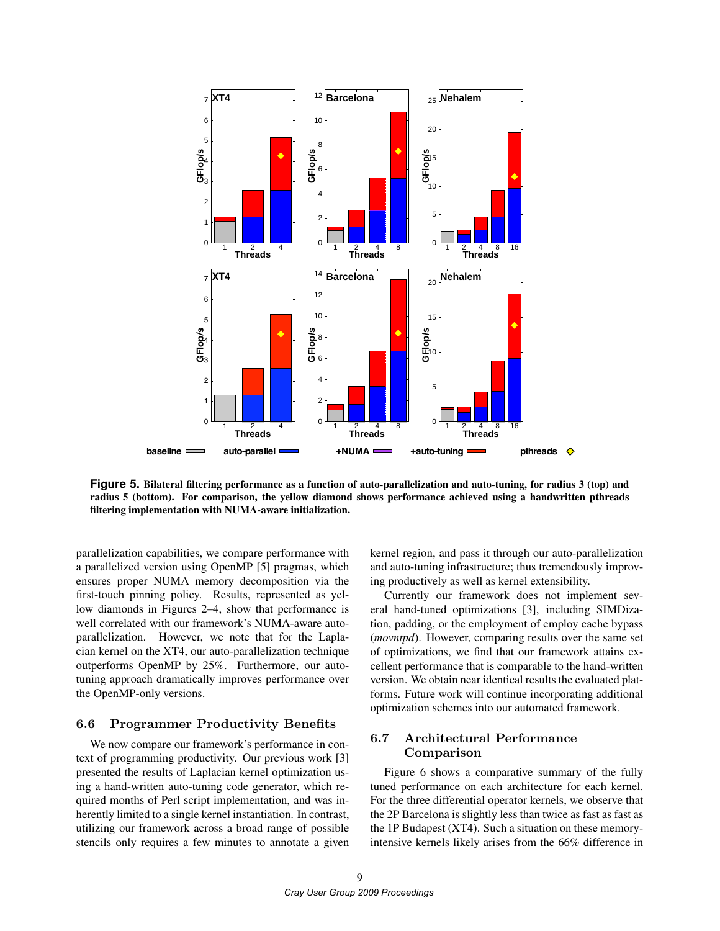

**Figure 5.** Bilateral filtering performance as a function of auto-parallelization and auto-tuning, for radius 3 (top) and radius 5 (bottom). For comparison, the yellow diamond shows performance achieved using a handwritten pthreads filtering implementation with NUMA-aware initialization.

parallelization capabilities, we compare performance with a parallelized version using OpenMP [5] pragmas, which ensures proper NUMA memory decomposition via the first-touch pinning policy. Results, represented as yellow diamonds in Figures 2–4, show that performance is well correlated with our framework's NUMA-aware autoparallelization. However, we note that for the Laplacian kernel on the XT4, our auto-parallelization technique outperforms OpenMP by 25%. Furthermore, our autotuning approach dramatically improves performance over the OpenMP-only versions.

## 6.6 Programmer Productivity Benefits

We now compare our framework's performance in context of programming productivity. Our previous work [3] presented the results of Laplacian kernel optimization using a hand-written auto-tuning code generator, which required months of Perl script implementation, and was inherently limited to a single kernel instantiation. In contrast, utilizing our framework across a broad range of possible stencils only requires a few minutes to annotate a given kernel region, and pass it through our auto-parallelization and auto-tuning infrastructure; thus tremendously improving productively as well as kernel extensibility.

Currently our framework does not implement several hand-tuned optimizations [3], including SIMDization, padding, or the employment of employ cache bypass (*movntpd*). However, comparing results over the same set of optimizations, we find that our framework attains excellent performance that is comparable to the hand-written version. We obtain near identical results the evaluated platforms. Future work will continue incorporating additional optimization schemes into our automated framework.

## 6.7 Architectural Performance Comparison

Figure 6 shows a comparative summary of the fully tuned performance on each architecture for each kernel. For the three differential operator kernels, we observe that the 2P Barcelona is slightly less than twice as fast as fast as the 1P Budapest (XT4). Such a situation on these memoryintensive kernels likely arises from the 66% difference in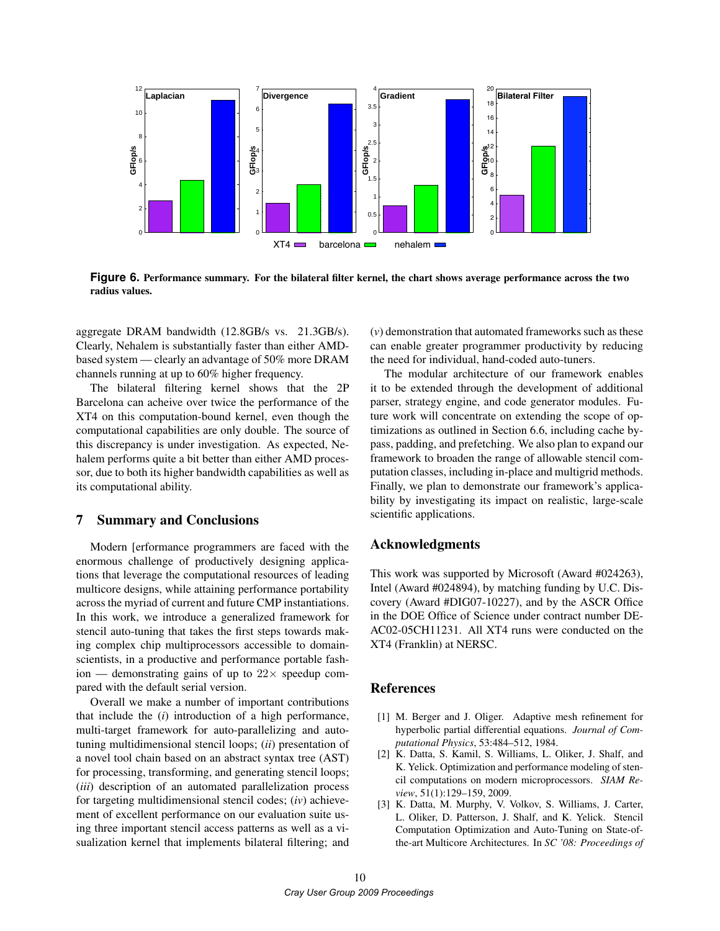

**Figure 6.** Performance summary. For the bilateral filter kernel, the chart shows average performance across the two radius values.

aggregate DRAM bandwidth (12.8GB/s vs. 21.3GB/s). Clearly, Nehalem is substantially faster than either AMDbased system — clearly an advantage of 50% more DRAM channels running at up to 60% higher frequency.

The bilateral filtering kernel shows that the 2P Barcelona can acheive over twice the performance of the XT4 on this computation-bound kernel, even though the computational capabilities are only double. The source of this discrepancy is under investigation. As expected, Nehalem performs quite a bit better than either AMD processor, due to both its higher bandwidth capabilities as well as its computational ability.

## 7 Summary and Conclusions

Modern [erformance programmers are faced with the enormous challenge of productively designing applications that leverage the computational resources of leading multicore designs, while attaining performance portability across the myriad of current and future CMP instantiations. In this work, we introduce a generalized framework for stencil auto-tuning that takes the first steps towards making complex chip multiprocessors accessible to domainscientists, in a productive and performance portable fashion — demonstrating gains of up to  $22 \times$  speedup compared with the default serial version.

Overall we make a number of important contributions that include the (*i*) introduction of a high performance, multi-target framework for auto-parallelizing and autotuning multidimensional stencil loops; (*ii*) presentation of a novel tool chain based on an abstract syntax tree (AST) for processing, transforming, and generating stencil loops; (*iii*) description of an automated parallelization process for targeting multidimensional stencil codes; (*iv*) achievement of excellent performance on our evaluation suite using three important stencil access patterns as well as a visualization kernel that implements bilateral filtering; and (*v*) demonstration that automated frameworks such as these can enable greater programmer productivity by reducing the need for individual, hand-coded auto-tuners.

The modular architecture of our framework enables it to be extended through the development of additional parser, strategy engine, and code generator modules. Future work will concentrate on extending the scope of optimizations as outlined in Section 6.6, including cache bypass, padding, and prefetching. We also plan to expand our framework to broaden the range of allowable stencil computation classes, including in-place and multigrid methods. Finally, we plan to demonstrate our framework's applicability by investigating its impact on realistic, large-scale scientific applications.

## Acknowledgments

This work was supported by Microsoft (Award #024263), Intel (Award #024894), by matching funding by U.C. Discovery (Award #DIG07-10227), and by the ASCR Office in the DOE Office of Science under contract number DE-AC02-05CH11231. All XT4 runs were conducted on the XT4 (Franklin) at NERSC.

### References

- [1] M. Berger and J. Oliger. Adaptive mesh refinement for hyperbolic partial differential equations. *Journal of Computational Physics*, 53:484–512, 1984.
- [2] K. Datta, S. Kamil, S. Williams, L. Oliker, J. Shalf, and K. Yelick. Optimization and performance modeling of stencil computations on modern microprocessors. *SIAM Review*, 51(1):129–159, 2009.
- [3] K. Datta, M. Murphy, V. Volkov, S. Williams, J. Carter, L. Oliker, D. Patterson, J. Shalf, and K. Yelick. Stencil Computation Optimization and Auto-Tuning on State-ofthe-art Multicore Architectures. In *SC '08: Proceedings of*